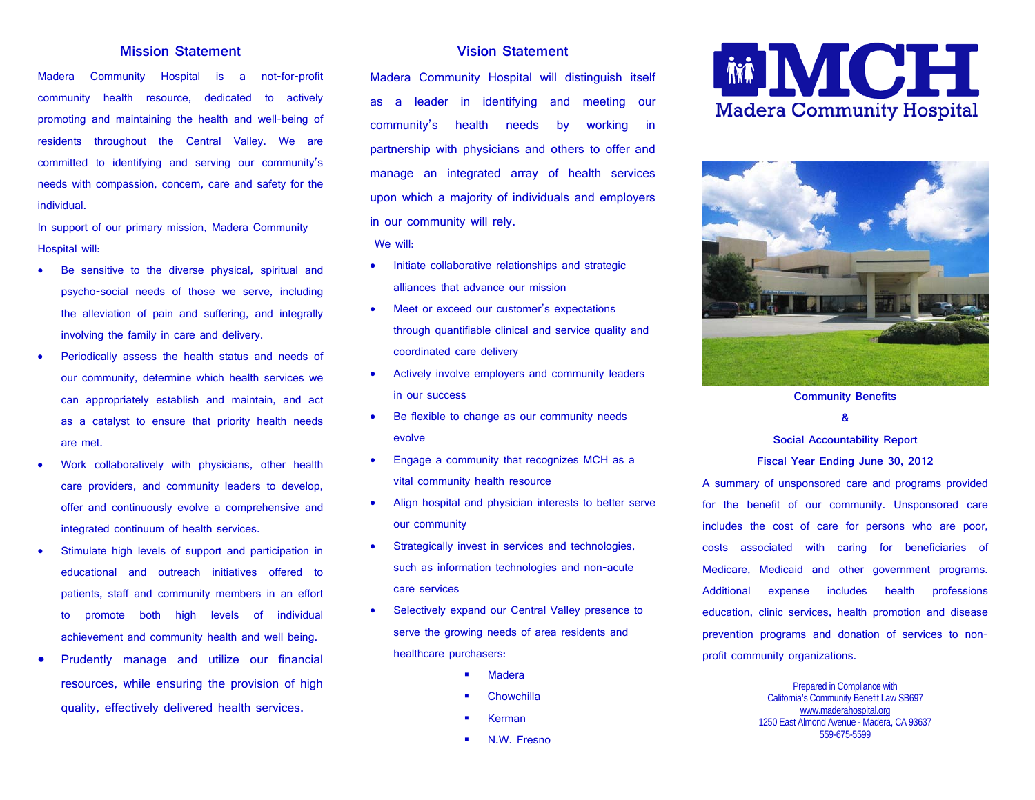## **Mission Statement**

Madera Community Hospital is a not-for-profit community health resource, dedicated to actively promoting and maintaining the health and well-being of residents throughout the Central Valley. We are committed to identifying and serving our community's needs with compassion, concern, care and safety for the individual.

In support of our primary mission, Madera Community Hospital will:

- Be sensitive to the diverse physical, spiritual and psycho-social needs of those we serve, including the alleviation of pain and suffering, and integrally involving the family in care and delivery.
- Periodically assess the health status and needs of our community, determine which health services we can appropriately establish and maintain, and act as a catalyst to ensure that priority health needs are met.
- Work collaboratively with physicians, other health care providers, and community leaders to develop, offer and continuously evolve a comprehensive and integrated continuum of health services.
- Stimulate high levels of support and participation in educational and outreach initiatives offered to patients, staff and community members in an effort to promote both high levels of individual achievement and community health and well being.
- Prudently manage and utilize our financial resources, while ensuring the provision of high quality, effectively delivered health services.

# **Vision Statement**

Madera Community Hospital will distinguish itself as a leader in identifying and meeting our community's health needs by working in partnership with physicians and others to offer and manage an integrated array of health services upon which a majority of individuals and employers in our community will rely.

We will:

- Initiate collaborative relationships and strategic alliances that advance our mission
- Meet or exceed our customer's expectations through quantifiable clinical and service quality and coordinated care delivery
- Actively involve employers and community leaders in our success
- Be flexible to change as our community needs evolve
- Engage a community that recognizes MCH as a vital community health resource
- Align hospital and physician interests to better serve our community
- Strategically invest in services and technologies, such as information technologies and non-acute care services
- Selectively expand our Central Valley presence to serve the growing needs of area residents and healthcare purchasers:
	- Madera
	- **Chowchilla**
	- Kerman
	- N.W. Fresno





**Community Benefits** 

**&** 

#### **Social Accountability Report**

**Fiscal Year Ending June 30, 2012**

A summary of unsponsored care and programs provided for the benefit of our community. Unsponsored care includes the cost of care for persons who are poor, costs associated with caring for beneficiaries of Medicare, Medicaid and other government programs. Additional expense includes health professions education, clinic services, health promotion and disease prevention programs and donation of services to nonprofit community organizations.

> Prepared in Compliance with California's Community Benefit Law SB697 [www.maderahospital.org](http://www.maderahospital.org/) 1250 East Almond Avenue - Madera, CA 93637 559-675-5599